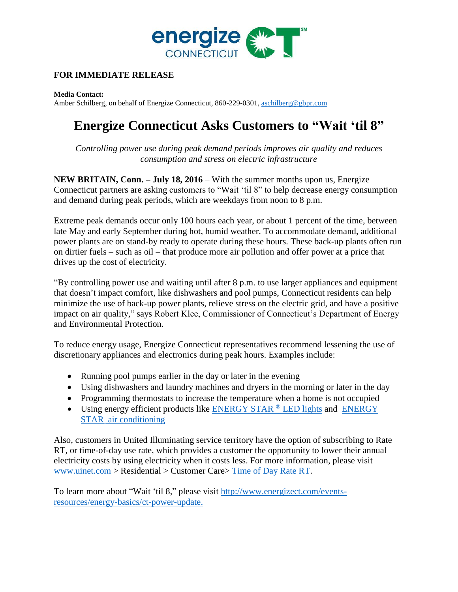

## **FOR IMMEDIATE RELEASE**

**Media Contact:** Amber Schilberg, on behalf of Energize Connecticut, 860-229-0301, [aschilberg@gbpr.com](mailto:aschilberg@gbpr.com)

## **Energize Connecticut Asks Customers to "Wait 'til 8"**

*Controlling power use during peak demand periods improves air quality and reduces consumption and stress on electric infrastructure*

**NEW BRITAIN, Conn. – July 18, 2016** – With the summer months upon us, Energize Connecticut partners are asking customers to "Wait 'til 8" to help decrease energy consumption and demand during peak periods, which are weekdays from noon to 8 p.m.

Extreme peak demands occur only 100 hours each year, or about 1 percent of the time, between late May and early September during hot, humid weather. To accommodate demand, additional power plants are on stand-by ready to operate during these hours. These back-up plants often run on dirtier fuels – such as oil – that produce more air pollution and offer power at a price that drives up the cost of electricity.

"By controlling power use and waiting until after 8 p.m. to use larger appliances and equipment that doesn't impact comfort, like dishwashers and pool pumps, Connecticut residents can help minimize the use of back-up power plants, relieve stress on the electric grid, and have a positive impact on air quality," says Robert Klee, Commissioner of Connecticut's Department of Energy and Environmental Protection.

To reduce energy usage, Energize Connecticut representatives recommend lessening the use of discretionary appliances and electronics during peak hours. Examples include:

- Running pool pumps earlier in the day or later in the evening
- Using dishwashers and laundry machines and dryers in the morning or later in the day
- Programming thermostats to increase the temperature when a home is not occupied
- Using energy efficient products like [ENERGY STAR](http://www.energizect.com/your-home/solutions-list/energy-star-lighting) <sup>®</sup> LED lights and [ENERGY](http://www.energizect.com/your-home/solutions-list/energy-star%C2%AE-appliances) STAR air [conditioning](http://www.energizect.com/your-home/solutions-list/energy-star%C2%AE-appliances)

Also, customers in United Illuminating service territory have the option of subscribing to Rate RT, or time-of-day use rate, which provides a customer the opportunity to lower their annual electricity costs by using electricity when it costs less. For more information, please visit [www.uinet.com](http://www.uinet.com/) > Residential > Customer Care> [Time of Day Rate RT.](https://www.uinet.com/wps/portal/uinet/customercare/home-residential/time%20of%20day%20rate%20rt/time%20of%20day%20rate%20rt/!ut/p/a1/vVJdb4IwFP0r3QOPphcEwUeim-niR1AygZellII1UhCrm_v1K2YPm3FuJsv61Htye-49PQcnOMKJpAdRUCUqSTdtnfSexzMymgxc4pOnwAFiEyuYzQcmeCZe4gQnTKparXC8F5Ir1EFsv1NVyRvEaMMNOMEGnKErfe80fCcyLpWgGwOUKDmqcpTRI2qo4qhRF8F2ZE0LnunHhTxVTGQ4tl3XSlMAGzKvz2xGaZelaWYx7pieA7lWE2s18M3x4Vdiv7QserZuuffdkExhZFofDVdGxHoH9xPDrD_UDGFAAs81YdrFixsEXSd7gL8ks24ie_zpL7UXVjMZTIrWS7XqCJlXODoPBY4u-X8ZxLFYb7eJr_NYScVfNfRfgazL0lvn497cg65TH97CvFwOjy9377T50k0!/dl5/d5/L2dBISEvZ0FBIS9nQSEh/)

To learn more about "Wait 'til 8," please visit [http://www.energizect.com/events](http://www.energizect.com/events-resources/energy-basics/ct-power-update)[resources/energy-basics/ct-power-update.](http://www.energizect.com/events-resources/energy-basics/ct-power-update)